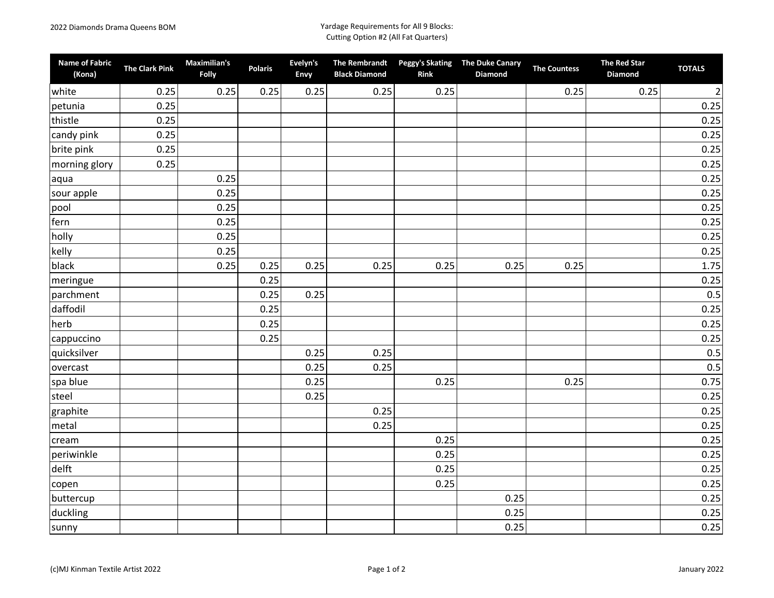## 2022 Diamonds Drama Queens BOM Yardage Requirements for All 9 Blocks: Cutting Option #2 (All Fat Quarters)

| <b>Name of Fabric</b><br>(Kona) | <b>The Clark Pink</b> | Maximilian's<br>Folly | <b>Polaris</b> | Evelyn's<br>Envy | <b>The Rembrandt</b><br><b>Black Diamond</b> | <b>Rink</b> | Peggy's Skating The Duke Canary<br>Diamond | <b>The Countess</b> | <b>The Red Star</b><br><b>Diamond</b> | <b>TOTALS</b>  |
|---------------------------------|-----------------------|-----------------------|----------------|------------------|----------------------------------------------|-------------|--------------------------------------------|---------------------|---------------------------------------|----------------|
| white                           | 0.25                  | 0.25                  | 0.25           | 0.25             | 0.25                                         | 0.25        |                                            | 0.25                | 0.25                                  | $\overline{2}$ |
| petunia                         | 0.25                  |                       |                |                  |                                              |             |                                            |                     |                                       | 0.25           |
| thistle                         | 0.25                  |                       |                |                  |                                              |             |                                            |                     |                                       | 0.25           |
| candy pink                      | 0.25                  |                       |                |                  |                                              |             |                                            |                     |                                       | 0.25           |
| brite pink                      | 0.25                  |                       |                |                  |                                              |             |                                            |                     |                                       | 0.25           |
| morning glory                   | 0.25                  |                       |                |                  |                                              |             |                                            |                     |                                       | 0.25           |
| aqua                            |                       | 0.25                  |                |                  |                                              |             |                                            |                     |                                       | 0.25           |
| sour apple                      |                       | 0.25                  |                |                  |                                              |             |                                            |                     |                                       | 0.25           |
| pool                            |                       | 0.25                  |                |                  |                                              |             |                                            |                     |                                       | 0.25           |
| fern                            |                       | 0.25                  |                |                  |                                              |             |                                            |                     |                                       | 0.25           |
| holly                           |                       | 0.25                  |                |                  |                                              |             |                                            |                     |                                       | 0.25           |
| kelly                           |                       | 0.25                  |                |                  |                                              |             |                                            |                     |                                       | 0.25           |
| black                           |                       | 0.25                  | 0.25           | 0.25             | 0.25                                         | 0.25        | 0.25                                       | 0.25                |                                       | 1.75           |
| meringue                        |                       |                       | 0.25           |                  |                                              |             |                                            |                     |                                       | 0.25           |
| parchment                       |                       |                       | 0.25           | 0.25             |                                              |             |                                            |                     |                                       | 0.5            |
| daffodil                        |                       |                       | 0.25           |                  |                                              |             |                                            |                     |                                       | 0.25           |
| herb                            |                       |                       | 0.25           |                  |                                              |             |                                            |                     |                                       | 0.25           |
| cappuccino                      |                       |                       | 0.25           |                  |                                              |             |                                            |                     |                                       | 0.25           |
| quicksilver                     |                       |                       |                | 0.25             | 0.25                                         |             |                                            |                     |                                       | 0.5            |
| overcast                        |                       |                       |                | 0.25             | 0.25                                         |             |                                            |                     |                                       | 0.5            |
| spa blue                        |                       |                       |                | 0.25             |                                              | 0.25        |                                            | 0.25                |                                       | 0.75           |
| steel                           |                       |                       |                | 0.25             |                                              |             |                                            |                     |                                       | 0.25           |
| graphite                        |                       |                       |                |                  | 0.25                                         |             |                                            |                     |                                       | 0.25           |
| metal                           |                       |                       |                |                  | 0.25                                         |             |                                            |                     |                                       | 0.25           |
| cream                           |                       |                       |                |                  |                                              | 0.25        |                                            |                     |                                       | 0.25           |
| periwinkle                      |                       |                       |                |                  |                                              | 0.25        |                                            |                     |                                       | 0.25           |
| delft                           |                       |                       |                |                  |                                              | 0.25        |                                            |                     |                                       | 0.25           |
| copen                           |                       |                       |                |                  |                                              | 0.25        |                                            |                     |                                       | 0.25           |
| buttercup                       |                       |                       |                |                  |                                              |             | 0.25                                       |                     |                                       | 0.25           |
| duckling                        |                       |                       |                |                  |                                              |             | 0.25                                       |                     |                                       | 0.25           |
| sunny                           |                       |                       |                |                  |                                              |             | 0.25                                       |                     |                                       | 0.25           |